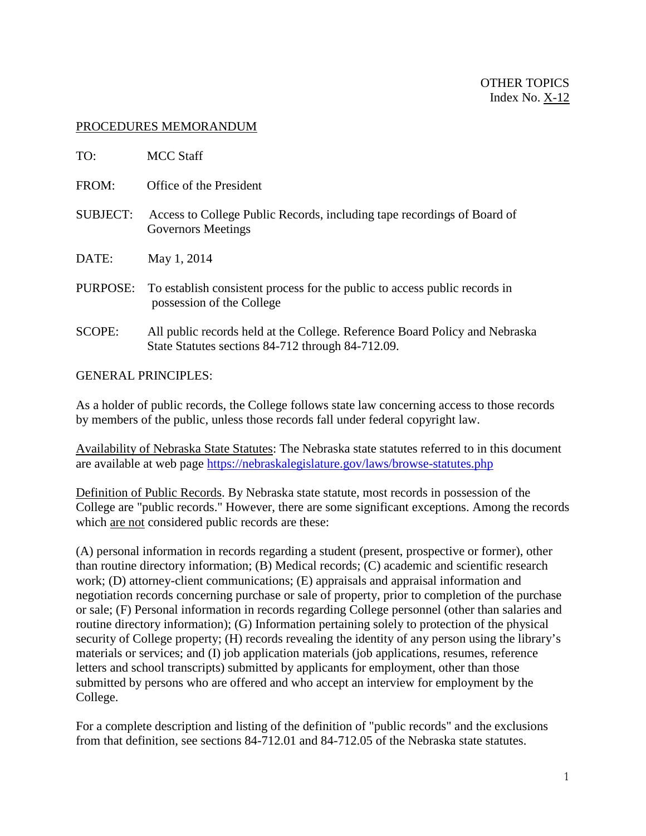## PROCEDURES MEMORANDUM

| TO:             | MCC Staff                                                                                                                        |
|-----------------|----------------------------------------------------------------------------------------------------------------------------------|
| FROM:           | Office of the President                                                                                                          |
| <b>SUBJECT:</b> | Access to College Public Records, including tape recordings of Board of<br><b>Governors Meetings</b>                             |
| DATE:           | May 1, 2014                                                                                                                      |
| PURPOSE:        | To establish consistent process for the public to access public records in<br>possession of the College                          |
| SCOPE:          | All public records held at the College. Reference Board Policy and Nebraska<br>State Statures sections 84-712 through 84-712.09. |
|                 |                                                                                                                                  |

GENERAL PRINCIPLES:

As a holder of public records, the College follows state law concerning access to those records by members of the public, unless those records fall under federal copyright law.

Availability of Nebraska State Statutes: The Nebraska state statutes referred to in this document are available at web page<https://nebraskalegislature.gov/laws/browse-statutes.php>

Definition of Public Records. By Nebraska state statute, most records in possession of the College are "public records." However, there are some significant exceptions. Among the records which are not considered public records are these:

(A) personal information in records regarding a student (present, prospective or former), other than routine directory information; (B) Medical records; (C) academic and scientific research work; (D) attorney-client communications; (E) appraisals and appraisal information and negotiation records concerning purchase or sale of property, prior to completion of the purchase or sale; (F) Personal information in records regarding College personnel (other than salaries and routine directory information); (G) Information pertaining solely to protection of the physical security of College property; (H) records revealing the identity of any person using the library's materials or services; and (I) job application materials (job applications, resumes, reference letters and school transcripts) submitted by applicants for employment, other than those submitted by persons who are offered and who accept an interview for employment by the College.

For a complete description and listing of the definition of "public records" and the exclusions from that definition, see sections 84-712.01 and 84-712.05 of the Nebraska state statutes.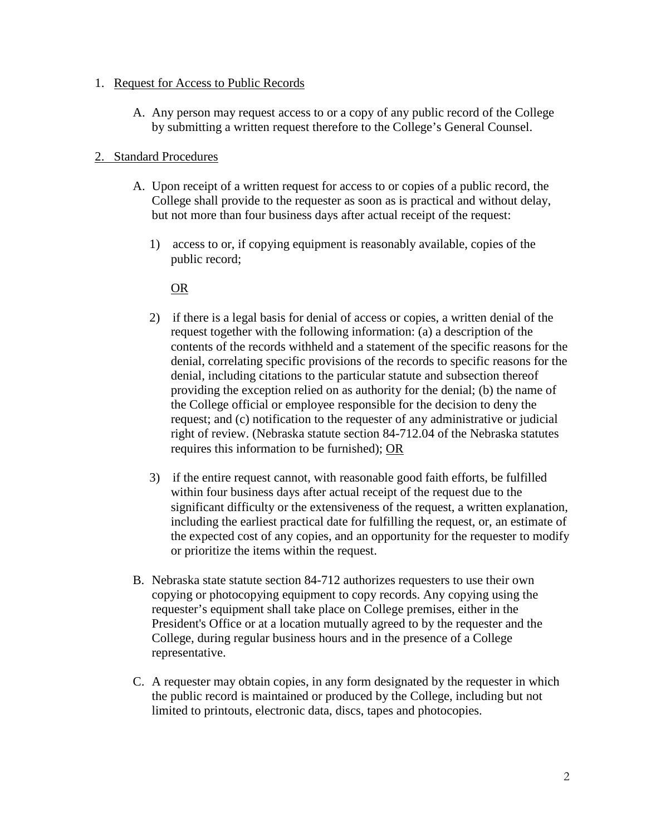## 1. Request for Access to Public Records

A. Any person may request access to or a copy of any public record of the College by submitting a written request therefore to the College's General Counsel.

## 2. Standard Procedures

- A. Upon receipt of a written request for access to or copies of a public record, the College shall provide to the requester as soon as is practical and without delay, but not more than four business days after actual receipt of the request:
	- 1) access to or, if copying equipment is reasonably available, copies of the public record;

## OR

- 2) if there is a legal basis for denial of access or copies, a written denial of the request together with the following information: (a) a description of the contents of the records withheld and a statement of the specific reasons for the denial, correlating specific provisions of the records to specific reasons for the denial, including citations to the particular statute and subsection thereof providing the exception relied on as authority for the denial; (b) the name of the College official or employee responsible for the decision to deny the request; and (c) notification to the requester of any administrative or judicial right of review. (Nebraska statute section 84-712.04 of the Nebraska statutes requires this information to be furnished); OR
- 3) if the entire request cannot, with reasonable good faith efforts, be fulfilled within four business days after actual receipt of the request due to the significant difficulty or the extensiveness of the request, a written explanation, including the earliest practical date for fulfilling the request, or, an estimate of the expected cost of any copies, and an opportunity for the requester to modify or prioritize the items within the request.
- B. Nebraska state statute section 84-712 authorizes requesters to use their own copying or photocopying equipment to copy records. Any copying using the requester's equipment shall take place on College premises, either in the President's Office or at a location mutually agreed to by the requester and the College, during regular business hours and in the presence of a College representative.
- C. A requester may obtain copies, in any form designated by the requester in which the public record is maintained or produced by the College, including but not limited to printouts, electronic data, discs, tapes and photocopies.